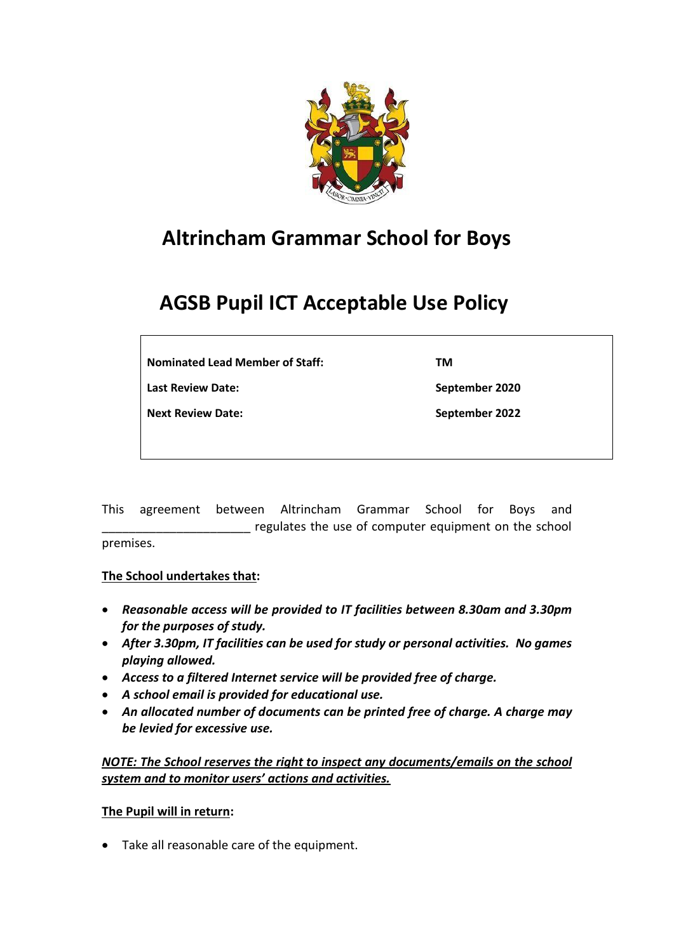

## **Altrincham Grammar School for Boys**

# **AGSB Pupil ICT Acceptable Use Policy**

**Nominated Lead Member of Staff:** 

**Last Review Date:** 

**Next Review Date:** 

**September 2020 September 2022**

**TM**

This agreement between Altrincham Grammar School for Boys and regulates the use of computer equipment on the school premises.

### **The School undertakes that:**

- *Reasonable access will be provided to IT facilities between 8.30am and 3.30pm for the purposes of study.*
- *After 3.30pm, IT facilities can be used for study or personal activities. No games playing allowed.*
- *Access to a filtered Internet service will be provided free of charge.*
- *A school email is provided for educational use.*
- *An allocated number of documents can be printed free of charge. A charge may be levied for excessive use.*

*NOTE: The School reserves the right to inspect any documents/emails on the school system and to monitor users' actions and activities.*

### **The Pupil will in return:**

• Take all reasonable care of the equipment.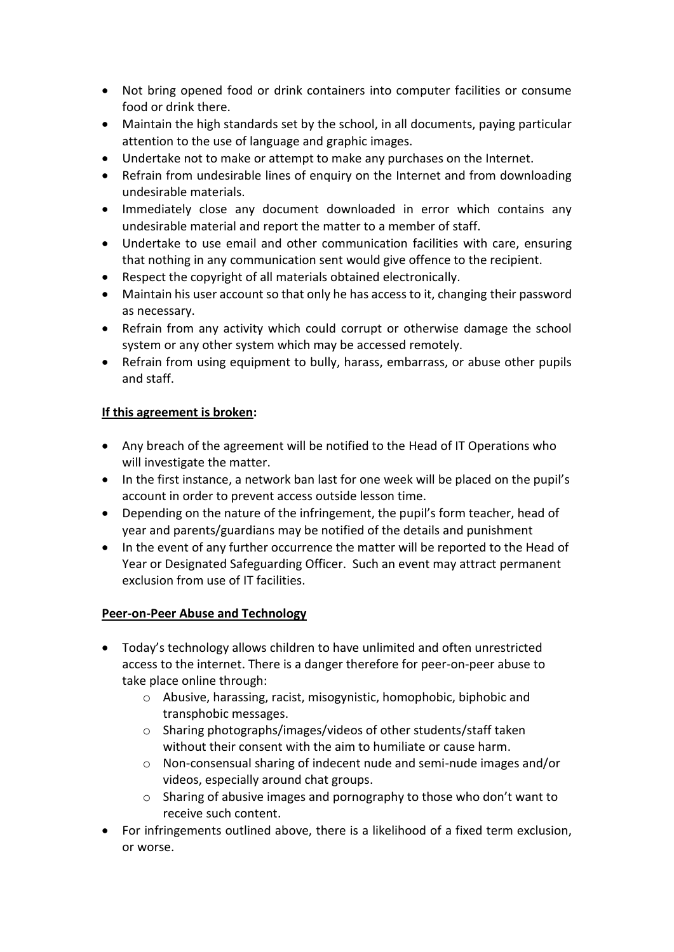- Not bring opened food or drink containers into computer facilities or consume food or drink there.
- Maintain the high standards set by the school, in all documents, paying particular attention to the use of language and graphic images.
- Undertake not to make or attempt to make any purchases on the Internet.
- Refrain from undesirable lines of enquiry on the Internet and from downloading undesirable materials.
- Immediately close any document downloaded in error which contains any undesirable material and report the matter to a member of staff.
- Undertake to use email and other communication facilities with care, ensuring that nothing in any communication sent would give offence to the recipient.
- Respect the copyright of all materials obtained electronically.
- Maintain his user account so that only he has access to it, changing their password as necessary.
- Refrain from any activity which could corrupt or otherwise damage the school system or any other system which may be accessed remotely.
- Refrain from using equipment to bully, harass, embarrass, or abuse other pupils and staff.

### **If this agreement is broken:**

- Any breach of the agreement will be notified to the Head of IT Operations who will investigate the matter.
- In the first instance, a network ban last for one week will be placed on the pupil's account in order to prevent access outside lesson time.
- Depending on the nature of the infringement, the pupil's form teacher, head of year and parents/guardians may be notified of the details and punishment
- In the event of any further occurrence the matter will be reported to the Head of Year or Designated Safeguarding Officer. Such an event may attract permanent exclusion from use of IT facilities.

### **Peer-on-Peer Abuse and Technology**

- Today's technology allows children to have unlimited and often unrestricted access to the internet. There is a danger therefore for peer-on-peer abuse to take place online through:
	- o Abusive, harassing, racist, misogynistic, homophobic, biphobic and transphobic messages.
	- o Sharing photographs/images/videos of other students/staff taken without their consent with the aim to humiliate or cause harm.
	- o Non-consensual sharing of indecent nude and semi-nude images and/or videos, especially around chat groups.
	- o Sharing of abusive images and pornography to those who don't want to receive such content.
- For infringements outlined above, there is a likelihood of a fixed term exclusion, or worse.